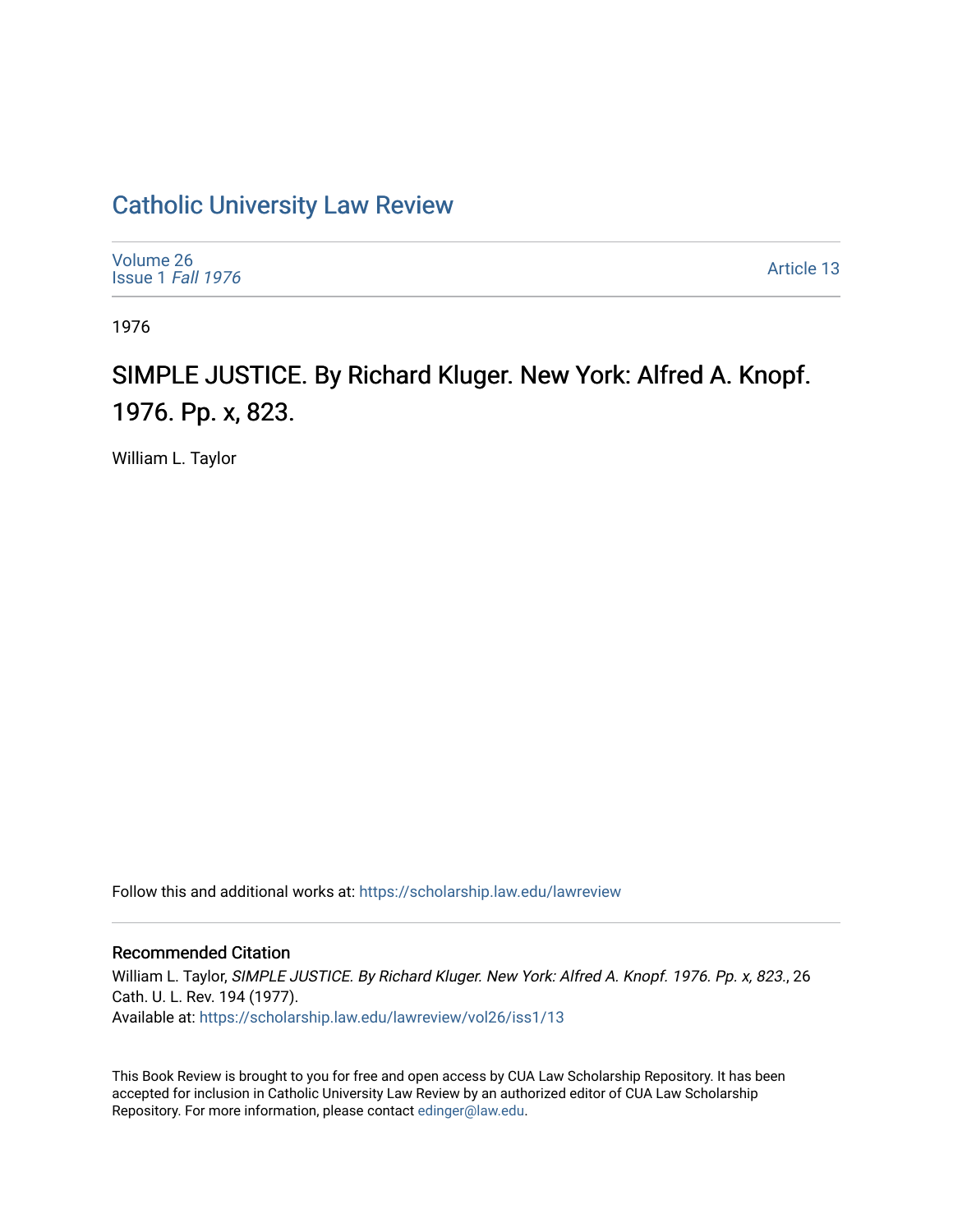# [Catholic University Law Review](https://scholarship.law.edu/lawreview)

| Volume 26<br>Issue 1 Fall 1976 | Article 13 |
|--------------------------------|------------|
|--------------------------------|------------|

1976

# SIMPLE JUSTICE. By Richard Kluger. New York: Alfred A. Knopf. 1976. Pp. x, 823.

William L. Taylor

Follow this and additional works at: [https://scholarship.law.edu/lawreview](https://scholarship.law.edu/lawreview?utm_source=scholarship.law.edu%2Flawreview%2Fvol26%2Fiss1%2F13&utm_medium=PDF&utm_campaign=PDFCoverPages)

## Recommended Citation

William L. Taylor, SIMPLE JUSTICE. By Richard Kluger. New York: Alfred A. Knopf. 1976. Pp. x, 823., 26 Cath. U. L. Rev. 194 (1977). Available at: [https://scholarship.law.edu/lawreview/vol26/iss1/13](https://scholarship.law.edu/lawreview/vol26/iss1/13?utm_source=scholarship.law.edu%2Flawreview%2Fvol26%2Fiss1%2F13&utm_medium=PDF&utm_campaign=PDFCoverPages) 

This Book Review is brought to you for free and open access by CUA Law Scholarship Repository. It has been accepted for inclusion in Catholic University Law Review by an authorized editor of CUA Law Scholarship Repository. For more information, please contact [edinger@law.edu.](mailto:edinger@law.edu)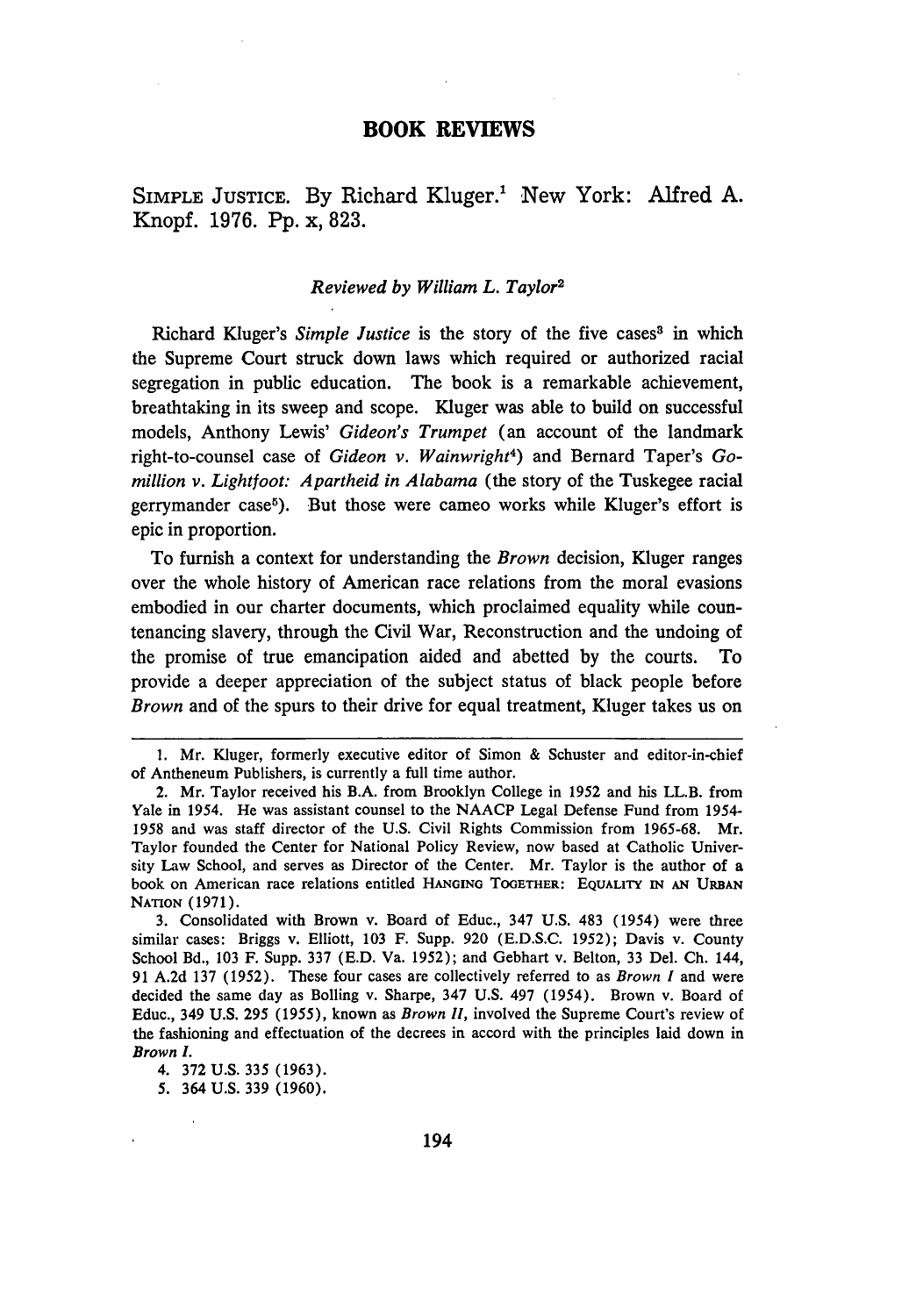#### **BOOK REVIEWS**

SIMPLE JUSTICE. **By** Richard Kluger.' New York: Alfred **A.** Knopf. **1976. Pp.** x, **823.**

#### *Reviewed by William L. Taylor2*

Richard Kluger's *Simple Justice* is the story of the five cases<sup>3</sup> in which the Supreme Court struck down laws which required or authorized racial segregation in public education. The book is a remarkable achievement, breathtaking in its sweep and scope. Kluger was able to build on successful models, Anthony Lewis' *Gideon's Trumpet* (an account of the landmark right-to-counsel case of *Gideon v. Wainwright<sup>4</sup> )* and Bernard Taper's *Gomillion v. Lightfoot: Apartheid in Alabama* (the story of the Tuskegee racial gerrymander case<sup>5</sup>). But those were cameo works while Kluger's effort is epic in proportion.

To furnish a context for understanding the *Brown* decision, Kluger ranges over the whole history of American race relations from the moral evasions embodied in our charter documents, which proclaimed equality while countenancing slavery, through the Civil War, Reconstruction and the undoing of the promise of true emancipation aided and abetted by the courts. To provide a deeper appreciation of the subject status of black people before *Brown* and of the spurs to their drive for equal treatment, Kluger takes us on

<sup>1.</sup> Mr. Kluger, formerly executive editor of Simon & Schuster and editor-in-chief of Antheneum Publishers, is currently a full time author.

<sup>2.</sup> Mr. Taylor received his B.A. from Brooklyn College in 1952 and his LL.B. from Yale in *1954.* He was assistant counsel to the NAACP Legal Defense Fund from 1954- 1958 and was staff director of the U.S. Civil Rights Commission from 1965-68. Mr. Taylor founded the Center for National Policy Review, now based at Catholic University Law School, and serves as Director of the Center. Mr. Taylor is the author of a book on American race relations entitled **HANGING** TOGETHER: **EQUALITY** IN **AN URBAN** NATION (1971).

<sup>3.</sup> Consolidated with Brown v. Board of Educ., 347 U.S. 483 (1954) were three similar cases: Briggs v. Elliott, 103 F. Supp. 920 (E.D.S.C. 1952); Davis v. County School Bd., 103 F. Supp. 337 (E.D. Va. 1952); and Gebhart v. Belton, 33 Del. Ch. 144, 91 A.2d 137 (1952). These four cases are collectively referred to as *Brown I* and were decided the same day as Bolling v. Sharpe, 347 U.S. 497 (1954). Brown v. Board of Educ., 349 U.S. 295 (1955), known as *Brown Ii,* involved the Supreme Court's review of the fashioning and effectuation of the decrees in accord with the principles laid down in Brown I.

<sup>4. 372</sup> U.S. 335 (1963).

<sup>5. 364</sup> U.S. 339 (1960).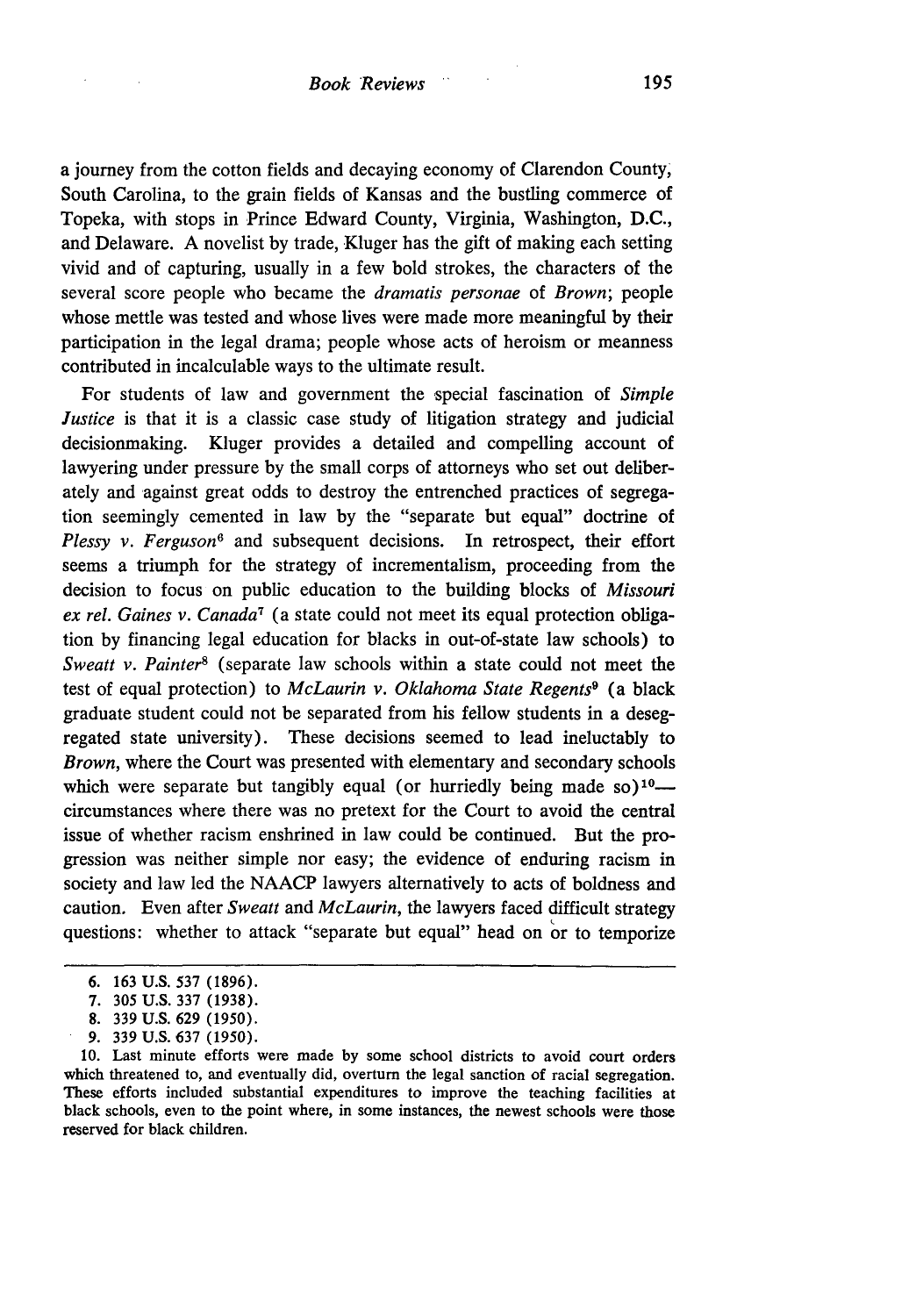a journey from the cotton fields and decaying economy of Clarendon County, South Carolina, to the grain fields of Kansas and the bustling commerce of Topeka, with stops in Prince Edward County, Virginia, Washington, **D.C.,** and Delaware. A novelist by trade, Kluger has the gift of making each setting vivid and of capturing, usually in a few bold strokes, the characters of the several score people who became the *dramatis personae* of *Brown;* people whose mettle was tested and whose lives were made more meaningful by their participation in the legal drama; people whose acts of heroism or meanness contributed in incalculable ways to the ultimate result.

For students of law and government the special fascination of *Simple Justice* is that it is a classic case study of litigation strategy and judicial decisionmaking. Kluger provides a detailed and compelling account of lawyering under pressure by the small corps of attorneys who set out deliberately and against great odds to destroy the entrenched practices of segregation seemingly cemented in law by the "separate but equal" doctrine of *Plessy v. Ferguson6* and subsequent decisions. In retrospect, their effort seems a triumph for the strategy of incrementalism, proceeding from the decision to focus on public education to the building blocks of *Missouri ex rel. Gaines v. Canada7* (a state could not meet its equal protection obligation by financing legal education for blacks in out-of-state law schools) to *Sweatt v. Painter8* (separate law schools within a state could not meet the test of equal protection) to *McLaurin v. Oklahoma State Regents9* (a black graduate student could not be separated from his fellow students in a desegregated state university). These decisions seemed to lead ineluctably to *Brown,* where the Court was presented with elementary and secondary schools which were separate but tangibly equal (or hurriedly being made so)<sup>10</sup> circumstances where there was no pretext for the Court to avoid the central issue of whether racism enshrined in law could be continued. But the progression was neither simple nor easy; the evidence of enduring racism in society and law led the NAACP lawyers alternatively to acts of boldness and caution. Even after *Sweatt* and *McLaurin,* the lawyers faced difficult strategy questions: whether to attack "separate but equal" head on or to temporize

<sup>6. 163</sup> U.S. 537 (1896).

<sup>7.</sup> **305** U.S. 337 (1938).

<sup>8. 339</sup> U.S. 629 (1950).

<sup>9. 339</sup> U.S. 637 (1950).

**<sup>10.</sup>** Last minute efforts were made by some school districts to avoid court orders which threatened to, and eventually did, overturn the legal sanction of racial segregation. These efforts included substantial expenditures to improve the teaching facilities at black schools, even to the point where, in some instances, the newest schools were those reserved for black children.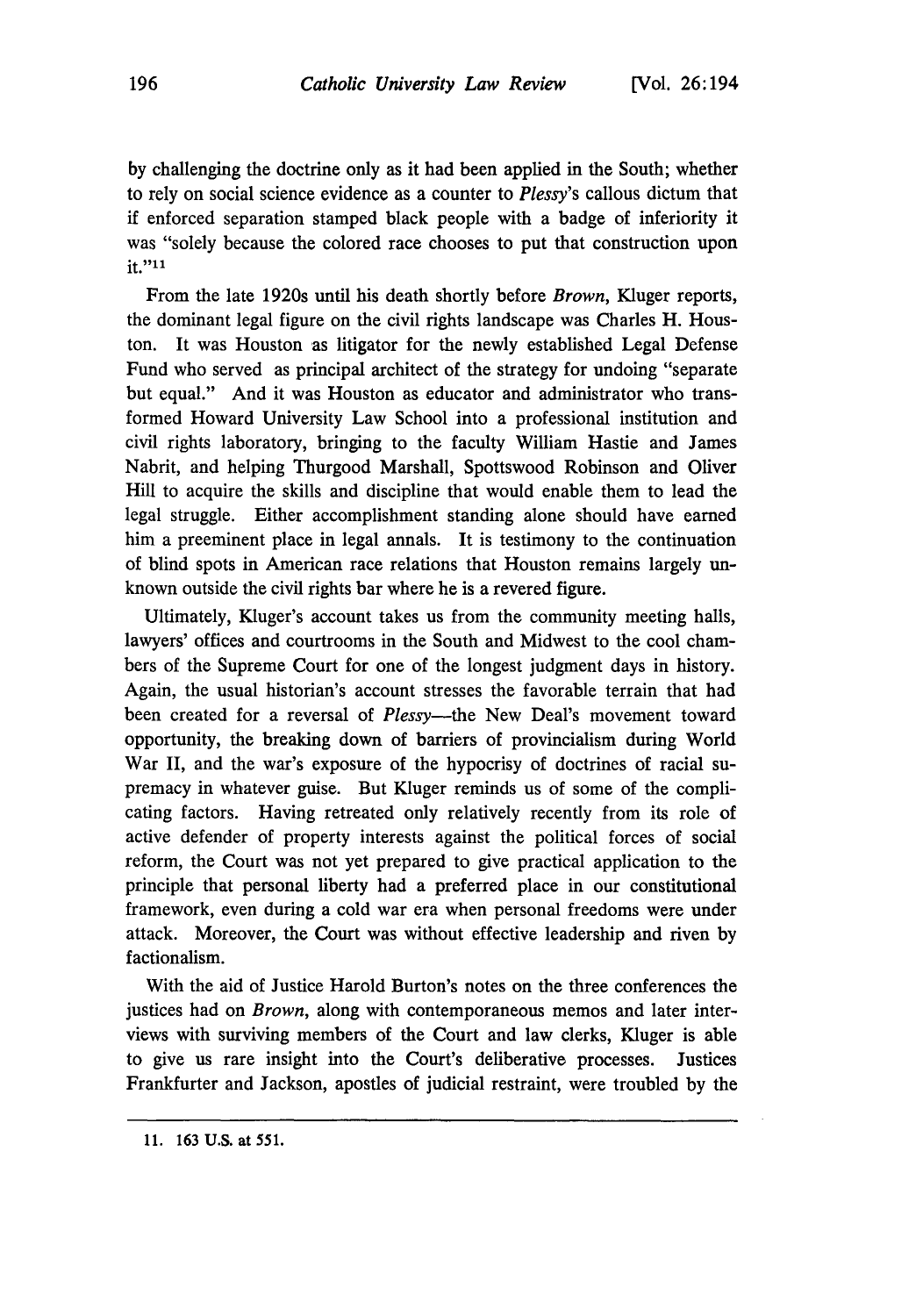by challenging the doctrine only as it had been applied in the South; whether to rely on social science evidence as a counter to *Plessy's* callous dictum that if enforced separation stamped black people with a badge of inferiority it was "solely because the colored race chooses to put that construction upon it."11

From the late 1920s until his death shortly before *Brown,* Kluger reports, the dominant legal figure on the civil rights landscape was Charles H. Houston. It was Houston as litigator for the newly established Legal Defense Fund who served as principal architect of the strategy for undoing "separate but equal." And it was Houston as educator and administrator who transformed Howard University Law School into a professional institution and civil rights laboratory, bringing to the faculty William Hastie and James Nabrit, and helping Thurgood Marshall, Spottswood Robinson and Oliver Hill to acquire the skills and discipline that would enable them to lead the legal struggle. Either accomplishment standing alone should have earned him a preeminent place in legal annals. It is testimony to the continuation of blind spots in American race relations that Houston remains largely unknown outside the civil rights bar where he is a revered figure.

Ultimately, Kluger's account takes us from the community meeting halls, lawyers' offices and courtrooms in the South and Midwest to the cool chambers of the Supreme Court for one of the longest judgment days in history. Again, the usual historian's account stresses the favorable terrain that had been created for a reversal of *Plessy*—the New Deal's movement toward opportunity, the breaking down of barriers of provincialism during World War II, and the war's exposure of the hypocrisy of doctrines of racial supremacy in whatever guise. But Kluger reminds us of some of the complicating factors. Having retreated only relatively recently from its role of active defender of property interests against the political forces of social reform, the Court was not yet prepared to give practical application to the principle that personal liberty had a preferred place in our constitutional framework, even during a cold war era when personal freedoms were under attack. Moreover, the Court was without effective leadership and riven by factionalism.

With the aid of Justice Harold Burton's notes on the three conferences the justices had on *Brown,* along with contemporaneous memos and later interviews with surviving members of the Court and law clerks, Kluger is able to give us rare insight into the Court's deliberative processes. Justices Frankfurter and Jackson, apostles of judicial restraint, were troubled by the

<sup>11. 163</sup> U.S. at 551.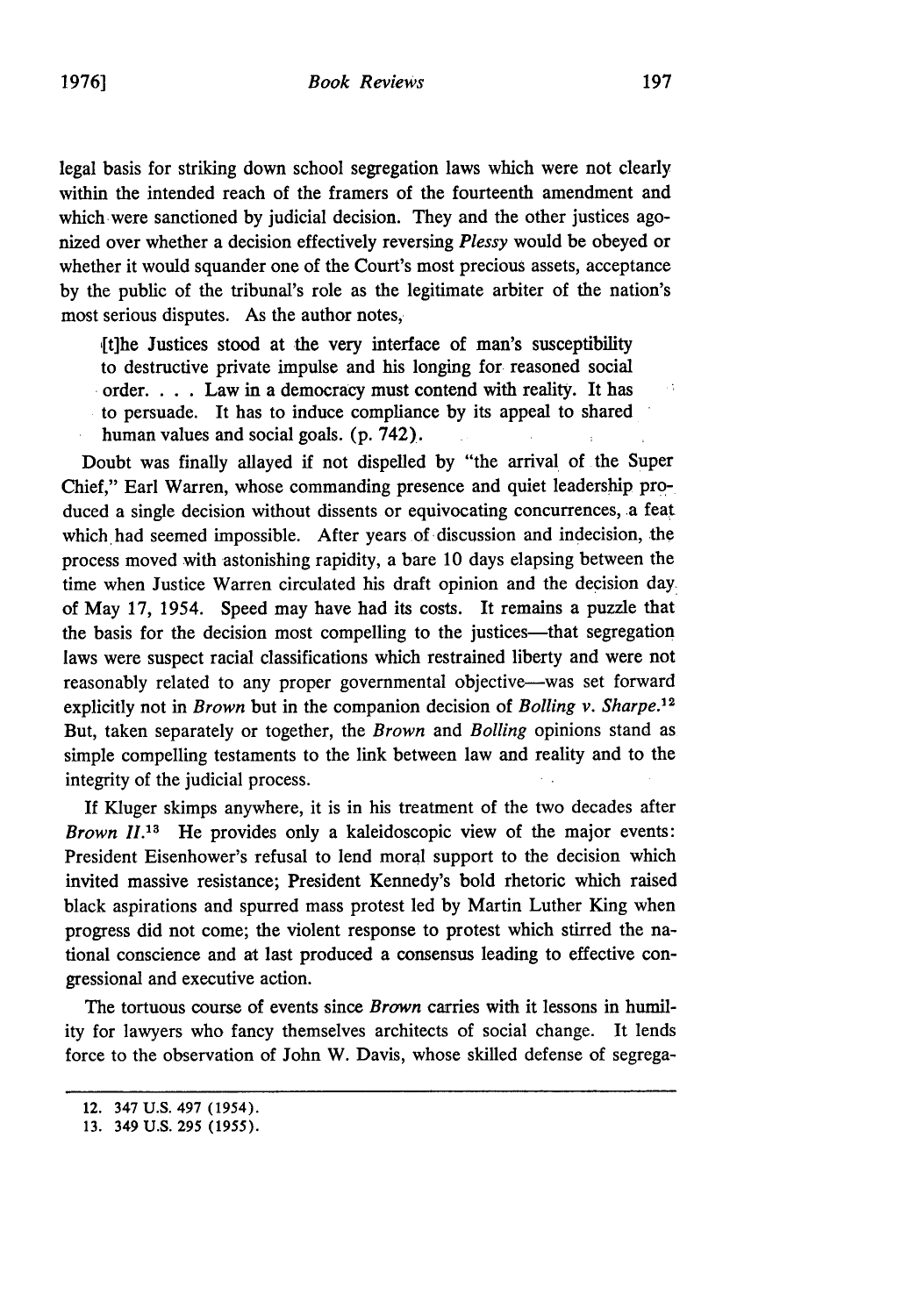legal basis for striking down school segregation laws which were not clearly within the intended reach of the framers of the fourteenth amendment and which-were sanctioned by judicial decision. They and the other justices agonized over whether a decision effectively reversing *Plessy* would be obeyed or whether it would squander one of the Court's most precious assets, acceptance by the public of the tribunal's role as the legitimate arbiter of the nation's most serious disputes. As the author notes,

,[t]he Justices stood at the very interface of man's susceptibility to destructive private impulse and his longing for reasoned social order. . . . Law in a democracy must contend with reality. It has to persuade. It has to induce compliance by its appeal to shared human values and social goals. (p. 742).

Doubt was finally allayed if not dispelled by "the arrival of the Super Chief," Earl Warren, whose commanding presence and quiet leadership produced a single decision without dissents or equivocating concurrences, a feat which had seemed impossible. After years of discussion and indecision, the process moved with astonishing rapidity, a bare 10 days elapsing between the time when Justice Warren circulated his draft opinion and the decision day, of May 17, 1954. Speed may have had its costs. It remains a puzzle that the basis for the decision most compelling to the justices-that segregation laws were suspect racial classifications which restrained liberty and were not reasonably related to any proper governmental objective-was set forward explicitly not in *Brown* but in the companion decision of *Bolling v. Sharpe*.<sup>12</sup> But, taken separately or together, the *Brown* and *Boiling* opinions stand as simple compelling testaments to the link between law and reality and to the integrity of the judicial process.

If Kluger skimps anywhere, it is in his treatment of the two decades after *Brown II.13* He provides only a kaleidoscopic view of the major events: President Eisenhower's refusal to lend moral support to the decision which invited massive resistance; President Kennedy's bold rhetoric which raised black aspirations and spurred mass protest led by Martin Luther King when progress did not come; the violent response to protest which stirred the national conscience and at last produced a consensus leading to effective congressional and executive action.

The tortuous course of events since *Brown* carries with it lessons in humility for lawyers who fancy themselves architects of social change. It lends force to the observation of John W. Davis, whose skilled defense of segrega-

иť.

<sup>12. 347</sup> U.S. 497 (1954).

<sup>13. 349</sup> U.S. 295 (1955).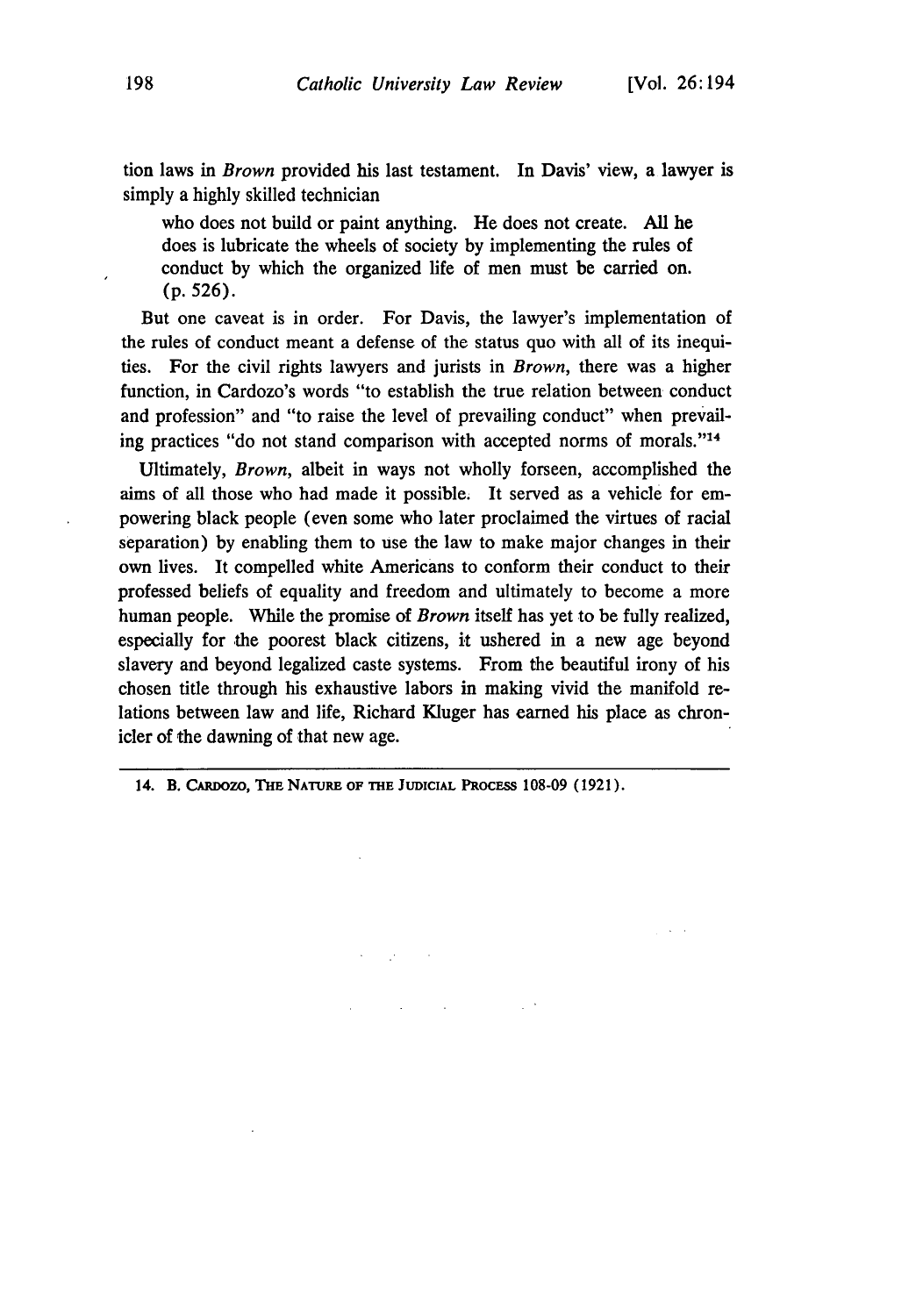tion laws in *Brown* provided his last testament. In Davis' view, a lawyer is simply a highly skilled technician

who does not build or paint anything. He does not create. All he does is lubricate the wheels of society by implementing the rules of conduct by which the organized life of men must be carried on. (p. 526).

But one caveat is in order. For Davis, the lawyer's implementation of the rules of conduct meant a defense of the status quo with all of its inequities. For the civil rights lawyers and jurists in *Brown,* there was a higher function, in Cardozo's words "to establish the true relation between conduct and profession" and "to raise the level of prevailing conduct" when prevailing practices "do not stand comparison with accepted norms of morals."14

Ultimately, *Brown,* albeit in ways not wholly forseen, accomplished the aims of all those who had made it possible. It served as a vehicle for empowering black people (even some who later proclaimed the virtues of racial separation) by enabling them to use the law to make major changes in their own lives. It compelled white Americans to conform their conduct to their professed beliefs of equality and freedom and ultimately to become a more human people. While the promise of *Brown* itself has yet to be fully realized, especially for the poorest black citizens, it ushered in a new age beyond slavery and beyond legalized caste systems. From the beautiful irony of his chosen title through his exhaustive labors in making vivid the manifold relations between law and life, Richard Kluger has earned his place as chronicler of the dawning of that new age.

 $\mathcal{L}(\mathcal{L}^{\mathcal{L}})$  and  $\mathcal{L}(\mathcal{L}^{\mathcal{L}})$  and  $\mathcal{L}^{\mathcal{L}}$  and  $\mathcal{L}^{\mathcal{L}}$ 

**14. B. CARDozo, THE NATURE OF THE JUDICIAL** PROCESS **108-09 (1921).**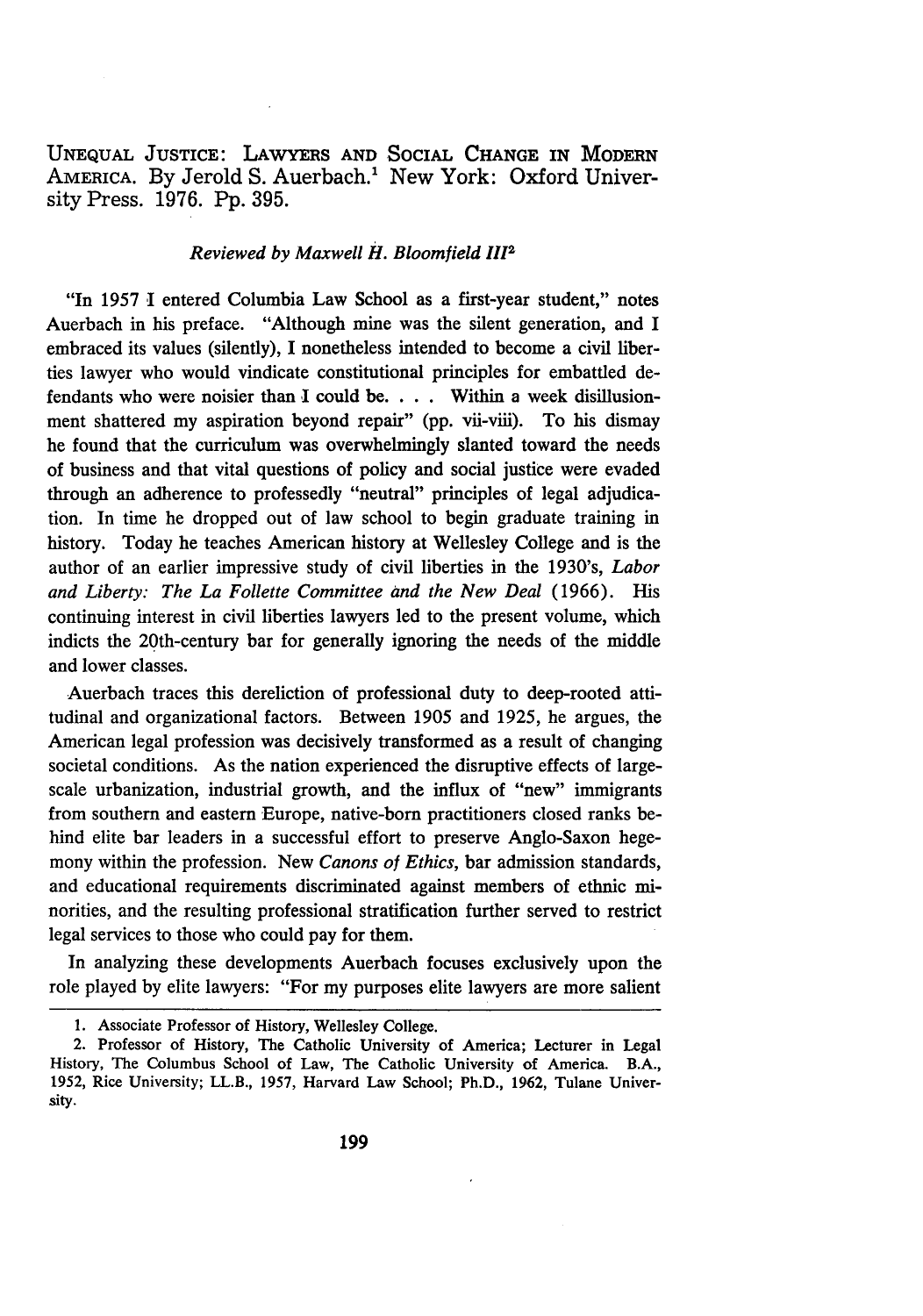UNEQUAL JUSTICE: LAWYERS **AND** SOCIAL **CHANGE** IN MODERN AMERICA. By Jerold S. Auerbach.' New York: Oxford University Press. **1976. Pp. 395.**

### *Reviewed by Maxwell H. Bloomfield* **<sup>1112</sup>**

"In **1957** I entered Columbia Law School as a first-year student," notes Auerbach in his preface. "Although mine was the silent generation, and I embraced its values (silently), **I** nonetheless intended to become a civil liberties lawyer who would vindicate constitutional principles for embattled defendants who were noisier than I could **be.** . **.** . Within a week disillusionment shattered my aspiration beyond repair" **(pp.** vii-viii). To his dismay he found that the curriculum was overwhelmingly slanted toward the needs of business and that vital questions of policy and social justice were evaded through an adherence to professedly "neutral" principles of legal adjudication. In time he dropped out of law school to begin graduate training in history. Today he teaches American history at Wellesley College and is the author of an earlier impressive study of civil liberties in the 1930's, *Labor and Liberty: The La Follette Committee and the New Deal* **(1966).** His continuing interest in civil liberties lawyers led to the present volume, which indicts the 20th-century bar for generally ignoring the needs of the middle and lower classes.

Auerbach traces this dereliction of professional duty to deep-rooted attitudinal and organizational factors. Between **1905** and **1925,** he argues, the American legal profession was decisively transformed as a result of changing societal conditions. As the nation experienced the disruptive effects of largescale urbanization, industrial growth, and the influx of "new" immigrants from southern and eastern Europe, native-born practitioners closed ranks behind elite bar leaders in a successful effort to preserve Anglo-Saxon hegemony within the profession. New *Canons of Ethics,* bar admission standards, and educational requirements discriminated against members of ethnic minorities, and the resulting professional stratification further served to restrict legal services to those who could pay for them.

In analyzing these developments Auerbach focuses exclusively upon the role played **by** elite lawyers: "For my purposes elite lawyers are more salient

**<sup>1.</sup>** Associate Professor of History, Wellesley College.

<sup>2.</sup> Professor of History, The Catholic University of America; Lecturer in Legal History, The Columbus School of Law, The Catholic University of America. B.A., **1952,** Rice University; LL.B., **1957,** Harvard Law School; Ph.D., 1962, Tulane University.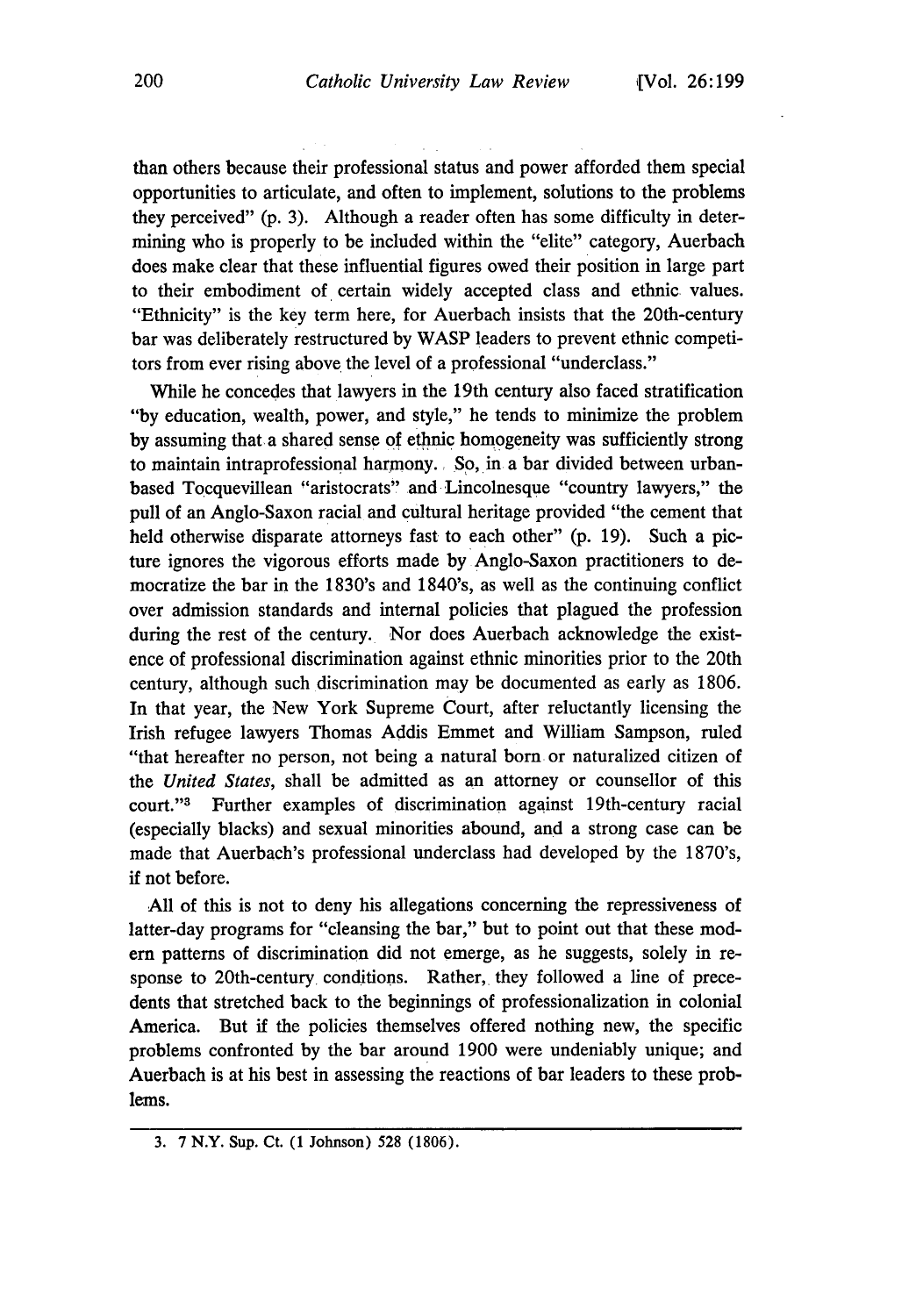than others because their professional status and power afforded them special opportunities to articulate, and often to implement, solutions to the problems they perceived" (p. 3). Although a reader often has some difficulty in determining who is properly to be included within the "elite" category, Auerbach does make clear that these influential figures owed their position in large part to their embodiment of certain widely accepted class and ethnic values. "Ethnicity" is the key term here, for Auerbach insists that the 20th-century bar was deliberately restructured by WASP leaders to prevent ethnic competitors from ever rising above the level of a professional "underclass."

While he concedes that lawyers in the 19th century also faced stratification "by education, wealth, power, and style," he tends to minimize the problem by assuming that a shared sense of ethnic homogeneity was sufficiently strong to maintain intraprofessional harmony., So, in a bar divided between urbanbased Tocquevillean "aristocrats" and Lincolnesque "country lawyers," the pull of an Anglo-Saxon racial and cultural heritage provided "the cement that held otherwise disparate attorneys fast to each other" (p. 19). Such a picture ignores the vigorous efforts made by Anglo-Saxon practitioners to democratize the bar in the 1830's and 1840's, as well as the continuing conflict over admission standards and internal policies that plagued the profession during the rest of the century. Nor does Auerbach acknowledge the existence of professional discrimination against ethnic minorities prior to the 20th century, although such discrimination may be documented as early as 1806. In that year, the New York Supreme Court, after reluctantly licensing the Irish refugee lawyers Thomas Addis Emmet and William Sampson, ruled "that hereafter no person, not being a natural born or naturalized citizen of the *United States,* shall be admitted as an attorney or counsellor of this court."3 Further examples of discrimination against 19th-century racial (especially blacks) and sexual minorities abound, and a strong case can be made that Auerbach's professional underclass had developed by the 1870's, if not before.

**All** of this is not to deny his allegations concerning the repressiveness of latter-day programs for "cleansing the bar," but to point out that these mod**em** patterns of discrimination did not emerge, as he suggests, solely in response to 20th-century conditions. Rather, they followed a line of precedents that stretched back to the beginnings of professionalization in colonial America. But if the policies themselves offered nothing new, the specific problems confronted by the bar around 1900 were undeniably unique; and Auerbach is at his best in assessing the reactions of bar leaders to these problems.

<sup>3.</sup> **7** N.Y. Sup. Ct. (1 Johnson) **528** (1806).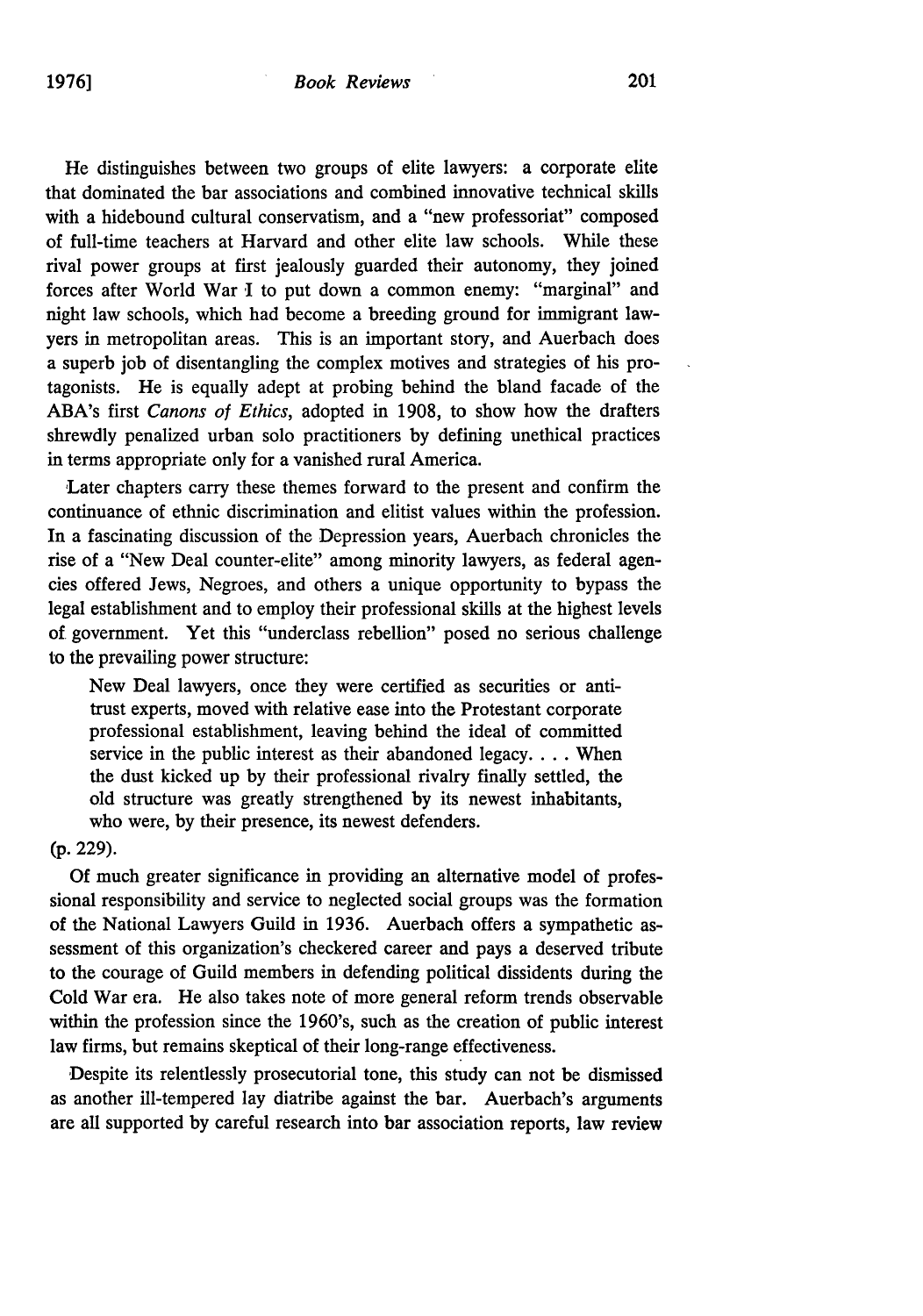He distinguishes between two groups of elite lawyers: a corporate elite that dominated the bar associations and combined innovative technical skills with a hidebound cultural conservatism, and a "new professoriat" composed of full-time teachers at Harvard and other elite law schools. While these rival power groups at first jealously guarded their autonomy, they joined forces after World War I to put down a common enemy: "marginal" and night law schools, which had become a breeding ground for immigrant lawyers in metropolitan areas. This is an important story, and Auerbach does a superb job of disentangling the complex motives and strategies of his protagonists. He is equally adept at probing behind the bland facade of the ABA's first *Canons of Ethics,* adopted in 1908, to show how the drafters shrewdly penalized urban solo practitioners by defining unethical practices in terms appropriate only for a vanished rural America.

Later chapters carry these themes forward to the present and confirm the continuance of ethnic discrimination and elitist values within the profession. In a fascinating discussion of the Depression years, Auerbach chronicles the rise of a "New Deal counter-elite" among minority lawyers, as federal agencies offered Jews, Negroes, and others a unique opportunity to bypass the legal establishment and to employ their professional skills at the highest levels of government. Yet this "underclass rebellion" posed no serious challenge to the prevailing power structure:

New Deal lawyers, once they were certified as securities or antitrust experts, moved with relative ease into the Protestant corporate professional establishment, leaving behind the ideal of committed service in the public interest as their abandoned legacy **....** When the dust kicked up by their professional rivalry finally settled, the old structure was greatly strengthened by its newest inhabitants, who were, by their presence, its newest defenders.

#### (p. 229).

Of much greater significance in providing an alternative model of professional responsibility and service to neglected social groups was the formation of the National Lawyers Guild in 1936. Auerbach offers a sympathetic assessment of this organization's checkered career and pays a deserved tribute to the courage of Guild members in defending political dissidents during the Cold War era. He also takes note of more general reform trends observable within the profession since the 1960's, such as the creation of public interest law firms, but remains skeptical of their long-range effectiveness.

Despite its relentlessly prosecutorial tone, this study can not be dismissed as another ill-tempered lay diatribe against the bar. Auerbach's arguments are all supported by careful research into bar association reports, law review